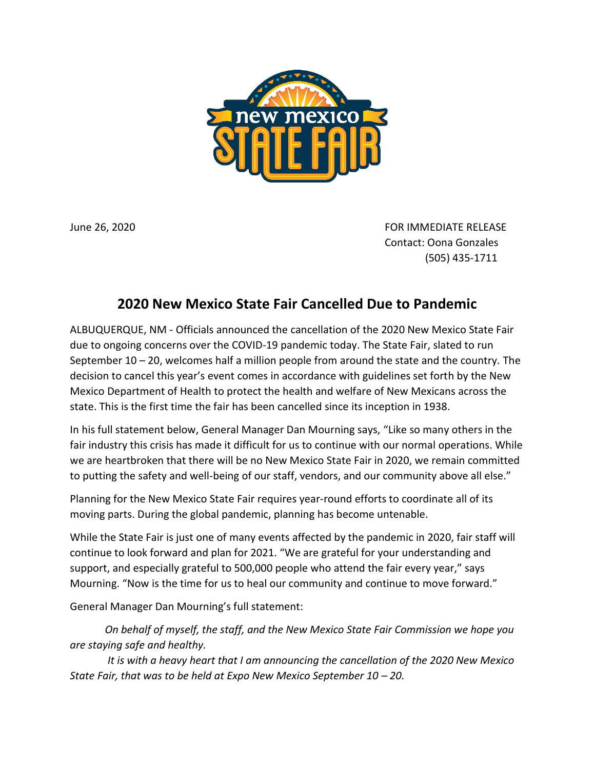

June 26, 2020 **FOR IMMEDIATE RELEASE** Contact: Oona Gonzales (505) 435-1711

## **2020 New Mexico State Fair Cancelled Due to Pandemic**

ALBUQUERQUE, NM - Officials announced the cancellation of the 2020 New Mexico State Fair due to ongoing concerns over the COVID-19 pandemic today. The State Fair, slated to run September 10 – 20, welcomes half a million people from around the state and the country. The decision to cancel this year's event comes in accordance with guidelines set forth by the New Mexico Department of Health to protect the health and welfare of New Mexicans across the state. This is the first time the fair has been cancelled since its inception in 1938.

In his full statement below, General Manager Dan Mourning says, "Like so many others in the fair industry this crisis has made it difficult for us to continue with our normal operations. While we are heartbroken that there will be no New Mexico State Fair in 2020, we remain committed to putting the safety and well-being of our staff, vendors, and our community above all else."

Planning for the New Mexico State Fair requires year-round efforts to coordinate all of its moving parts. During the global pandemic, planning has become untenable.

While the State Fair is just one of many events affected by the pandemic in 2020, fair staff will continue to look forward and plan for 2021. "We are grateful for your understanding and support, and especially grateful to 500,000 people who attend the fair every year," says Mourning. "Now is the time for us to heal our community and continue to move forward."

General Manager Dan Mourning's full statement:

*On behalf of myself, the staff, and the New Mexico State Fair Commission we hope you are staying safe and healthy.*

*It is with a heavy heart that I am announcing the cancellation of the 2020 New Mexico State Fair, that was to be held at Expo New Mexico September 10 – 20.*